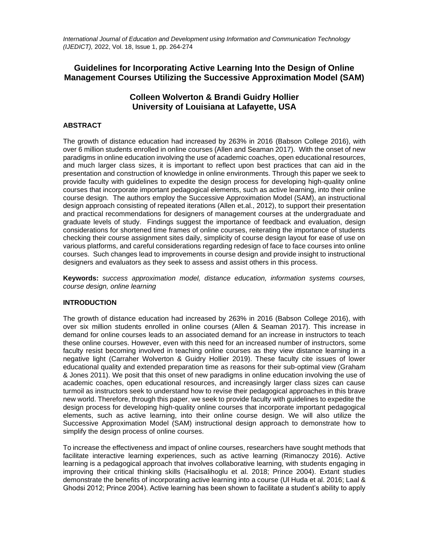*International Journal of Education and Development using Information and Communication Technology (IJEDICT),* 2022, Vol. 18, Issue 1, pp. 264-274

# **Guidelines for Incorporating Active Learning Into the Design of Online Management Courses Utilizing the Successive Approximation Model (SAM)**

# **Colleen Wolverton & Brandi Guidry Hollier University of Louisiana at Lafayette, USA**

## **ABSTRACT**

The growth of distance education had increased by 263% in 2016 (Babson College 2016), with over 6 million students enrolled in online courses (Allen and Seaman 2017). With the onset of new paradigms in online education involving the use of academic coaches, open educational resources, and much larger class sizes, it is important to reflect upon best practices that can aid in the presentation and construction of knowledge in online environments. Through this paper we seek to provide faculty with guidelines to expedite the design process for developing high-quality online courses that incorporate important pedagogical elements, such as active learning, into their online course design. The authors employ the Successive Approximation Model (SAM), an instructional design approach consisting of repeated iterations (Allen et.al., 2012), to support their presentation and practical recommendations for designers of management courses at the undergraduate and graduate levels of study. Findings suggest the importance of feedback and evaluation, design considerations for shortened time frames of online courses, reiterating the importance of students checking their course assignment sites daily, simplicity of course design layout for ease of use on various platforms, and careful considerations regarding redesign of face to face courses into online courses. Such changes lead to improvements in course design and provide insight to instructional designers and evaluators as they seek to assess and assist others in this process.

**Keywords:** *success approximation model, distance education, information systems courses, course design, online learning*

## **INTRODUCTION**

The growth of distance education had increased by 263% in 2016 (Babson College 2016), with over six million students enrolled in online courses (Allen & Seaman 2017). This increase in demand for online courses leads to an associated demand for an increase in instructors to teach these online courses. However, even with this need for an increased number of instructors, some faculty resist becoming involved in teaching online courses as they view distance learning in a negative light (Carraher Wolverton & Guidry Hollier 2019). These faculty cite issues of lower educational quality and extended preparation time as reasons for their sub-optimal view (Graham & Jones 2011). We posit that this onset of new paradigms in online education involving the use of academic coaches, open educational resources, and increasingly larger class sizes can cause [turmoil](https://www.thesaurus.com/browse/turmoil) as instructors seek to understand how to revise their pedagogical approaches in this brave new world. Therefore, through this paper, we seek to provide faculty with guidelines to expedite the design process for developing high-quality online courses that incorporate important pedagogical elements, such as active learning, into their online course design. We will also utilize the Successive Approximation Model (SAM) instructional design approach to demonstrate how to simplify the design process of online courses.

To increase the effectiveness and impact of online courses, researchers have sought methods that facilitate interactive learning experiences, such as active learning (Rimanoczy 2016). Active learning is a pedagogical approach that involves collaborative learning, with students engaging in improving their critical thinking skills (Hacisalihoglu et al. 2018; Prince 2004). Extant studies demonstrate the benefits of incorporating active learning into a course (Ul Huda et al. 2016; Laal & Ghodsi 2012; Prince 2004). Active learning has been shown to facilitate a student's ability to apply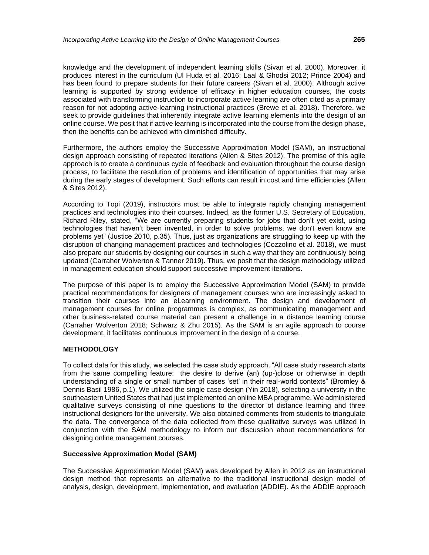knowledge and the development of independent learning skills (Sivan et al. 2000). Moreover, it produces interest in the curriculum (Ul Huda et al. 2016; Laal & Ghodsi 2012; Prince 2004) and has been found to prepare students for their future careers (Sivan et al. 2000). Although active learning is supported by strong evidence of efficacy in higher education courses, the costs associated with transforming instruction to incorporate active learning are often cited as a primary reason for not adopting active-learning instructional practices (Brewe et al. 2018). Therefore, we seek to provide guidelines that inherently integrate active learning elements into the design of an online course. We posit that if active learning is incorporated into the course from the design phase, then the benefits can be achieved with diminished difficulty.

Furthermore, the authors employ the Successive Approximation Model (SAM), an instructional design approach consisting of repeated iterations (Allen & Sites 2012). The premise of this agile approach is to create a continuous cycle of feedback and evaluation throughout the course design process, to facilitate the resolution of problems and identification of opportunities that may arise during the early stages of development. Such efforts can result in cost and time efficiencies (Allen & Sites 2012).

According to Topi (2019), instructors must be able to integrate rapidly changing management practices and technologies into their courses. Indeed, as the former U.S. Secretary of Education, Richard Riley, stated, "We are currently preparing students for jobs that don't yet exist, using technologies that haven't been invented, in order to solve problems, we don't even know are problems yet" (Justice 2010, p.35). Thus, just as organizations are struggling to keep up with the disruption of changing management practices and technologies (Cozzolino et al. 2018), we must also prepare our students by designing our courses in such a way that they are continuously being updated (Carraher Wolverton & Tanner 2019). Thus, we posit that the design methodology utilized in management education should support successive improvement iterations.

The purpose of this paper is to employ the Successive Approximation Model (SAM) to provide practical recommendations for designers of management courses who are increasingly asked to transition their courses into an eLearning environment. The design and development of management courses for online programmes is complex, as communicating management and other business-related course material can present a challenge in a distance learning course (Carraher Wolverton 2018; Schwarz & Zhu 2015). As the SAM is an agile approach to course development, it facilitates continuous improvement in the design of a course.

## **METHODOLOGY**

To collect data for this study, we selected the case study approach. "All case study research starts from the same compelling feature: the desire to derive (an) (up-)close or otherwise in depth understanding of a single or small number of cases 'set' in their real-world contexts" (Bromley & Dennis Basil 1986, p.1). We utilized the single case design (Yin 2018), selecting a university in the southeastern United States that had just implemented an online MBA programme. We administered qualitative surveys consisting of nine questions to the director of distance learning and three instructional designers for the university. We also obtained comments from students to triangulate the data. The convergence of the data collected from these qualitative surveys was utilized in conjunction with the SAM methodology to inform our discussion about recommendations for designing online management courses.

### **Successive Approximation Model (SAM)**

The Successive Approximation Model (SAM) was developed by Allen in 2012 as an instructional design method that represents an alternative to the traditional instructional design model of analysis, design, development, implementation, and evaluation (ADDIE). As the ADDIE approach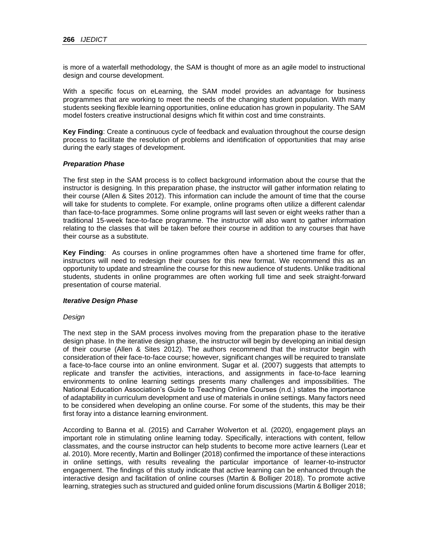is more of a waterfall methodology, the SAM is thought of more as an agile model to instructional design and course development.

With a specific focus on eLearning, the SAM model provides an advantage for business programmes that are working to meet the needs of the changing student population. With many students seeking flexible learning opportunities, online education has grown in popularity. The SAM model fosters creative instructional designs which fit within cost and time constraints.

**Key Finding**: Create a continuous cycle of feedback and evaluation throughout the course design process to facilitate the resolution of problems and identification of opportunities that may arise during the early stages of development.

#### *Preparation Phase*

The first step in the SAM process is to collect background information about the course that the instructor is designing. In this preparation phase, the instructor will gather information relating to their course (Allen & Sites 2012). This information can include the amount of time that the course will take for students to complete. For example, online programs often utilize a different calendar than face-to-face programmes. Some online programs will last seven or eight weeks rather than a traditional 15-week face-to-face programme. The instructor will also want to gather information relating to the classes that will be taken before their course in addition to any courses that have their course as a substitute.

**Key Finding**: As courses in online programmes often have a shortened time frame for offer, instructors will need to redesign their courses for this new format. We recommend this as an opportunity to update and streamline the course for this new audience of students. Unlike traditional students, students in online programmes are often working full time and seek straight-forward presentation of course material.

#### *Iterative Design Phase*

#### *Design*

The next step in the SAM process involves moving from the preparation phase to the iterative design phase. In the iterative design phase, the instructor will begin by developing an initial design of their course (Allen & Sites 2012). The authors recommend that the instructor begin with consideration of their face-to-face course; however, significant changes will be required to translate a face-to-face course into an online environment. Sugar et al. (2007) suggests that attempts to replicate and transfer the activities, interactions, and assignments in face-to-face learning environments to online learning settings presents many challenges and impossibilities. The National Education Association's Guide to Teaching Online Courses (n.d.) states the importance of adaptability in curriculum development and use of materials in online settings. Many factors need to be considered when developing an online course. For some of the students, this may be their first foray into a distance learning environment.

According to Banna et al. (2015) and Carraher Wolverton et al. (2020), engagement plays an important role in stimulating online learning today. Specifically, interactions with content, fellow classmates, and the course instructor can help students to become more active learners (Lear et al. 2010). More recently, Martin and Bollinger (2018) confirmed the importance of these interactions in online settings, with results revealing the particular importance of learner-to-instructor engagement. The findings of this study indicate that active learning can be enhanced through the interactive design and facilitation of online courses (Martin & Bolliger 2018). To promote active learning, strategies such as structured and guided online forum discussions (Martin & Bolliger 2018;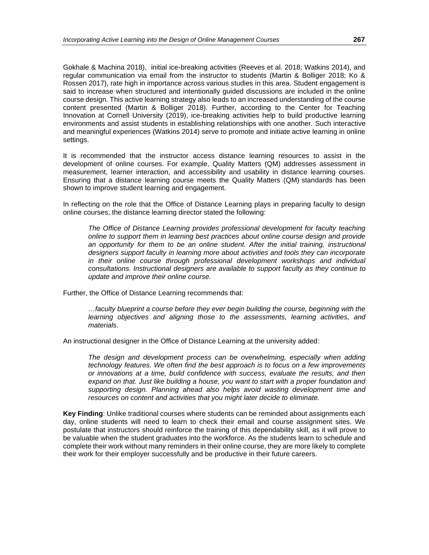Gokhale & Machina 2018), initial ice-breaking activities (Reeves et al. 2018; Watkins 2014), and regular communication via email from the instructor to students (Martin & Bolliger 2018; Ko & Rossen 2017), rate high in importance across various studies in this area. Student engagement is said to increase when structured and intentionally guided discussions are included in the online course design. This active learning strategy also leads to an increased understanding of the course content presented (Martin & Bolliger 2018). Further, according to the Center for Teaching Innovation at Cornell University (2019), ice-breaking activities help to build productive learning environments and assist students in establishing relationships with one another. Such interactive and meaningful experiences (Watkins 2014) serve to promote and initiate active learning in online settings.

It is recommended that the instructor access distance learning resources to assist in the development of online courses. For example, Quality Matters (QM) addresses assessment in measurement, learner interaction, and accessibility and usability in distance learning courses. Ensuring that a distance learning course meets the Quality Matters (QM) standards has been shown to improve student learning and engagement.

In reflecting on the role that the Office of Distance Learning plays in preparing faculty to design online courses, the distance learning director stated the following:

*The Office of Distance Learning provides professional development for faculty teaching online to support them in learning best practices about online course design and provide*  an opportunity for them to be an online student. After the initial training, instructional *designers support faculty in learning more about activities and tools they can incorporate in their online course through professional development workshops and individual consultations. Instructional designers are available to support faculty as they continue to update and improve their online course.* 

Further, the Office of Distance Learning recommends that:

…*faculty blueprint a course before they ever begin building the course, beginning with the learning objectives and aligning those to the assessments, learning activities, and materials*.

An instructional designer in the Office of Distance Learning at the university added:

*The design and development process can be overwhelming, especially when adding technology features. We often find the best approach is to focus on a few improvements or innovations at a time, build confidence with success, evaluate the results, and then expand on that. Just like building a house, you want to start with a proper foundation and supporting design. Planning ahead also helps avoid wasting development time and resources on content and activities that you might later decide to eliminate.*

**Key Finding**: Unlike traditional courses where students can be reminded about assignments each day, online students will need to learn to check their email and course assignment sites. We postulate that instructors should reinforce the training of this dependability skill, as it will prove to be valuable when the student graduates into the workforce. As the students learn to schedule and complete their work without many reminders in their online course, they are more likely to complete their work for their employer successfully and be productive in their future careers.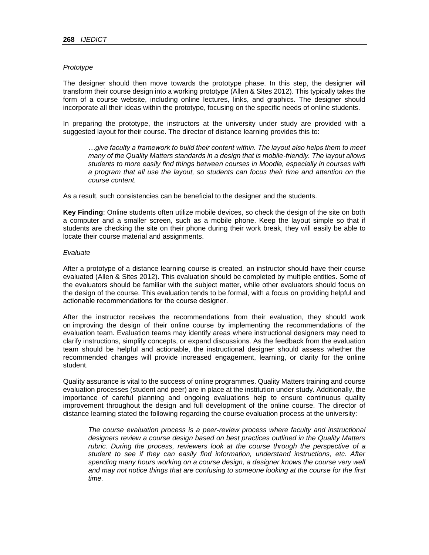#### *Prototype*

The designer should then move towards the prototype phase. In this step, the designer will transform their course design into a working prototype (Allen & Sites 2012). This typically takes the form of a course website, including online lectures, links, and graphics. The designer should incorporate all their ideas within the prototype, focusing on the specific needs of online students.

In preparing the prototype, the instructors at the university under study are provided with a suggested layout for their course. The director of distance learning provides this to:

*…give faculty a framework to build their content within. The layout also helps them to meet many of the Quality Matters standards in a design that is mobile-friendly. The layout allows students to more easily find things between courses in Moodle, especially in courses with a program that all use the layout, so students can focus their time and attention on the course content.* 

As a result, such consistencies can be beneficial to the designer and the students.

**Key Finding**: Online students often utilize mobile devices, so check the design of the site on both a computer and a smaller screen, such as a mobile phone. Keep the layout simple so that if students are checking the site on their phone during their work break, they will easily be able to locate their course material and assignments.

### *Evaluate*

After a prototype of a distance learning course is created, an instructor should have their course evaluated (Allen & Sites 2012). This evaluation should be completed by multiple entities. Some of the evaluators should be familiar with the subject matter, while other evaluators should focus on the design of the course. This evaluation tends to be formal, with a focus on providing helpful and actionable recommendations for the course designer.

After the instructor receives the recommendations from their evaluation, they should work on improving the design of their online course by implementing the recommendations of the evaluation team. Evaluation teams may identify areas where instructional designers may need to clarify instructions, simplify concepts, or expand discussions. As the feedback from the evaluation team should be helpful and actionable, the instructional designer should assess whether the recommended changes will provide increased engagement, learning, or clarity for the online student.

Quality assurance is vital to the success of online programmes. Quality Matters training and course evaluation processes (student and peer) are in place at the institution under study. Additionally, the importance of careful planning and ongoing evaluations help to ensure continuous quality improvement throughout the design and full development of the online course. The director of distance learning stated the following regarding the course evaluation process at the university:

*The course evaluation process is a peer-review process where faculty and instructional designers review a course design based on best practices outlined in the Quality Matters rubric. During the process, reviewers look at the course through the perspective of a student to see if they can easily find information, understand instructions, etc. After spending many hours working on a course design, a designer knows the course very well and may not notice things that are confusing to someone looking at the course for the first time.*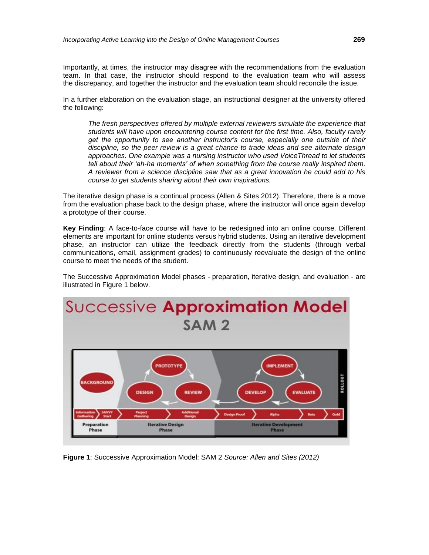Importantly, at times, the instructor may disagree with the recommendations from the evaluation team. In that case, the instructor should respond to the evaluation team who will assess the discrepancy, and together the instructor and the evaluation team should reconcile the issue.

In a further elaboration on the evaluation stage, an instructional designer at the university offered the following:

*The fresh perspectives offered by multiple external reviewers simulate the experience that students will have upon encountering course content for the first time. Also, faculty rarely get the opportunity to see another instructor's course, especially one outside of their discipline, so the peer review is a great chance to trade ideas and see alternate design approaches. One example was a nursing instructor who used VoiceThread to let students tell about their 'ah-ha moments' of when something from the course really inspired them. A reviewer from a science discipline saw that as a great innovation he could add to his course to get students sharing about their own inspirations.*

The iterative design phase is a continual process (Allen & Sites 2012). Therefore, there is a move from the evaluation phase back to the design phase, where the instructor will once again develop a prototype of their course.

**Key Finding**: A face-to-face course will have to be redesigned into an online course. Different elements are important for online students versus hybrid students. Using an iterative development phase, an instructor can utilize the feedback directly from the students (through verbal communications, email, assignment grades) to continuously reevaluate the design of the online course to meet the needs of the student.

The Successive Approximation Model phases - preparation, iterative design, and evaluation - are illustrated in Figure 1 below.



**Figure 1**: Successive Approximation Model: SAM 2 *Source: Allen and Sites (2012)*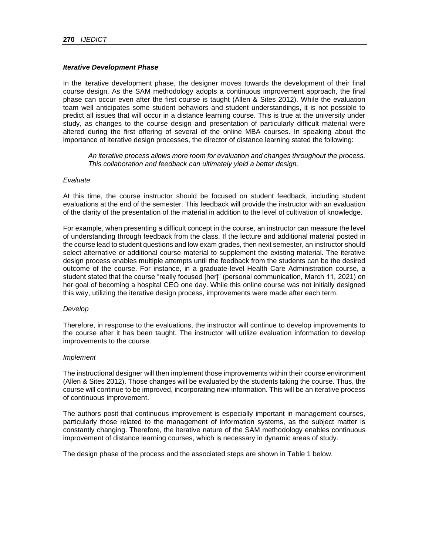## *Iterative Development Phase*

In the iterative development phase, the designer moves towards the development of their final course design. As the SAM methodology adopts a continuous improvement approach, the final phase can occur even after the first course is taught (Allen & Sites 2012). While the evaluation team well anticipates some student behaviors and student understandings, it is not possible to predict all issues that will occur in a distance learning course. This is true at the university under study, as changes to the course design and presentation of particularly difficult material were altered during the first offering of several of the online MBA courses. In speaking about the importance of iterative design processes, the director of distance learning stated the following:

*An iterative process allows more room for evaluation and changes throughout the process. This collaboration and feedback can ultimately yield a better design.*

#### *Evaluate*

At this time, the course instructor should be focused on student feedback, including student evaluations at the end of the semester. This feedback will provide the instructor with an evaluation of the clarity of the presentation of the material in addition to the level of cultivation of knowledge.

For example, when presenting a difficult concept in the course, an instructor can measure the level of understanding through feedback from the class. If the lecture and additional material posted in the course lead to student questions and low exam grades, then next semester, an instructor should select alternative or additional course material to supplement the existing material. The iterative design process enables multiple attempts until the feedback from the students can be the desired outcome of the course. For instance, in a graduate-level Health Care Administration course, a student stated that the course "really focused [her]" (personal communication, March 11, 2021) on her goal of becoming a hospital CEO one day. While this online course was not initially designed this way, utilizing the iterative design process, improvements were made after each term.

#### *Develop*

Therefore, in response to the evaluations, the instructor will continue to develop improvements to the course after it has been taught. The instructor will utilize evaluation information to develop improvements to the course.

#### *Implement*

The instructional designer will then implement those improvements within their course environment (Allen & Sites 2012). Those changes will be evaluated by the students taking the course. Thus, the course will continue to be improved, incorporating new information. This will be an iterative process of continuous improvement.

The authors posit that continuous improvement is especially important in management courses, particularly those related to the management of information systems, as the subject matter is constantly changing. Therefore, the iterative nature of the SAM methodology enables continuous improvement of distance learning courses, which is necessary in dynamic areas of study.

The design phase of the process and the associated steps are shown in Table 1 below.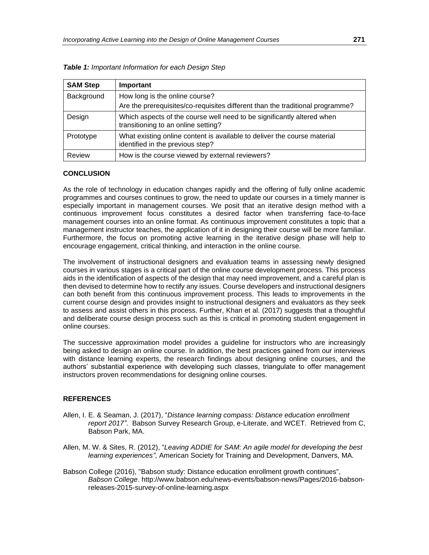| <b>SAM Step</b> | Important                                                                                                       |
|-----------------|-----------------------------------------------------------------------------------------------------------------|
| Background      | How long is the online course?<br>Are the prerequisites/co-requisites different than the traditional programme? |
| Design          | Which aspects of the course well need to be significantly altered when<br>transitioning to an online setting?   |
| Prototype       | What existing online content is available to deliver the course material<br>identified in the previous step?    |
| Review          | How is the course viewed by external reviewers?                                                                 |

*Table 1: Important Information for each Design Step*

## **CONCLUSION**

As the role of technology in education changes rapidly and the offering of fully online academic programmes and courses continues to grow, the need to update our courses in a timely manner is especially important in management courses. We posit that an iterative design method with a continuous improvement focus constitutes a desired factor when transferring face-to-face management courses into an online format. As continuous improvement constitutes a topic that a management instructor teaches, the application of it in designing their course will be more familiar. Furthermore, the focus on promoting active learning in the iterative design phase will help to encourage engagement, critical thinking, and interaction in the online course.

The involvement of instructional designers and evaluation teams in assessing newly designed courses in various stages is a critical part of the online course development process. This process aids in the identification of aspects of the design that may need improvement, and a careful plan is then devised to determine how to rectify any issues. Course developers and instructional designers can both benefit from this continuous improvement process. This leads to improvements in the current course design and provides insight to instructional designers and evaluators as they seek to assess and assist others in this process. Further, Khan et al. (2017) suggests that a thoughtful and deliberate course design process such as this is critical in promoting student engagement in online courses.

The successive approximation model provides a guideline for instructors who are increasingly being asked to design an online course. In addition, the best practices gained from our interviews with distance learning experts, the research findings about designing online courses, and the authors' substantial experience with developing such classes, triangulate to offer management instructors proven recommendations for designing online courses.

#### **REFERENCES**

- Allen, I. E. & Seaman, J. (2017), "*Distance learning compass: Distance education enrollment report 2017"*. Babson Survey Research Group, e-Literate, and WCET. Retrieved from C, Babson Park, MA.
- Allen, M. W. & Sites, R. (2012), "*Leaving ADDIE for SAM: An agile model for developing the best learning experiences"*, American Society for Training and Development, Danvers, MA.
- Babson College (2016), "Babson study: Distance education enrollment growth continues", *Babson College*. http://www.babson.edu/news-events/babson-news/Pages/2016-babsonreleases-2015-survey-of-online-learning.aspx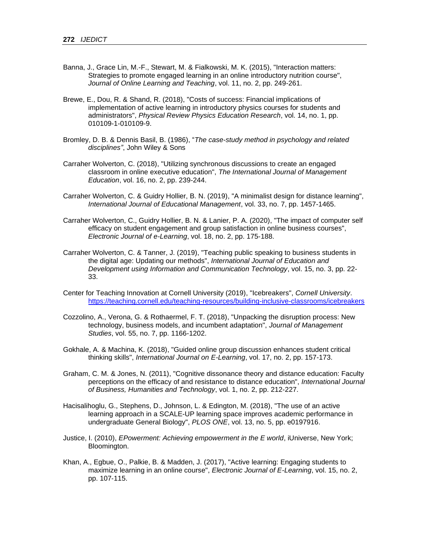- Banna, J., Grace Lin, M.-F., Stewart, M. & Fialkowski, M. K. (2015), "Interaction matters: Strategies to promote engaged learning in an online introductory nutrition course", *Journal of Online Learning and Teaching*, vol. 11, no. 2, pp. 249-261.
- Brewe, E., Dou, R. & Shand, R. (2018), "Costs of success: Financial implications of implementation of active learning in introductory physics courses for students and administrators", *Physical Review Physics Education Research*, vol. 14, no. 1, pp. 010109-1-010109-9.
- Bromley, D. B. & Dennis Basil, B. (1986), "*The case-study method in psychology and related disciplines"*, John Wiley & Sons
- Carraher Wolverton, C. (2018), "Utilizing synchronous discussions to create an engaged classroom in online executive education", *The International Journal of Management Education*, vol. 16, no. 2, pp. 239-244.
- Carraher Wolverton, C. & Guidry Hollier, B. N. (2019), "A minimalist design for distance learning", *International Journal of Educational Management*, vol. 33, no. 7, pp. 1457-1465.
- Carraher Wolverton, C., Guidry Hollier, B. N. & Lanier, P. A. (2020), "The impact of computer self efficacy on student engagement and group satisfaction in online business courses", *Electronic Journal of e-Learning*, vol. 18, no. 2, pp. 175‑188.
- Carraher Wolverton, C. & Tanner, J. (2019), "Teaching public speaking to business students in the digital age: Updating our methods", *International Journal of Education and Development using Information and Communication Technology*, vol. 15, no. 3, pp. 22- 33.
- Center for Teaching Innovation at Cornell University (2019), "Icebreakers", *Cornell University*. <https://teaching.cornell.edu/teaching-resources/building-inclusive-classrooms/icebreakers>
- Cozzolino, A., Verona, G. & Rothaermel, F. T. (2018), "Unpacking the disruption process: New technology, business models, and incumbent adaptation", *Journal of Management Studies*, vol. 55, no. 7, pp. 1166-1202.
- Gokhale, A. & Machina, K. (2018), "Guided online group discussion enhances student critical thinking skills", *International Journal on E-Learning*, vol. 17, no. 2, pp. 157-173.
- Graham, C. M. & Jones, N. (2011), "Cognitive dissonance theory and distance education: Faculty perceptions on the efficacy of and resistance to distance education", *International Journal of Business, Humanities and Technology*, vol. 1, no. 2, pp. 212-227.
- Hacisalihoglu, G., Stephens, D., Johnson, L. & Edington, M. (2018), "The use of an active learning approach in a SCALE-UP learning space improves academic performance in undergraduate General Biology", *PLOS ONE*, vol. 13, no. 5, pp. e0197916.
- Justice, I. (2010), *EPowerment: Achieving empowerment in the E world*, iUniverse, New York; Bloomington.
- Khan, A., Egbue, O., Palkie, B. & Madden, J. (2017), "Active learning: Engaging students to maximize learning in an online course", *Electronic Journal of E-Learning*, vol. 15, no. 2, pp. 107‑115.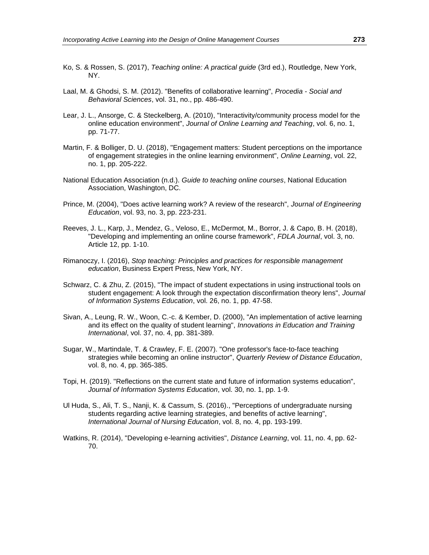- Ko, S. & Rossen, S. (2017), *Teaching online: A practical guide* (3rd ed.), Routledge, New York, NY.
- Laal, M. & Ghodsi, S. M. (2012). "Benefits of collaborative learning", *Procedia - Social and Behavioral Sciences*, vol. 31, no., pp. 486-490.
- Lear, J. L., Ansorge, C. & Steckelberg, A. (2010), "Interactivity/community process model for the online education environment", *Journal of Online Learning and Teaching*, vol. 6, no. 1, pp. 71-77.
- Martin, F. & Bolliger, D. U. (2018), "Engagement matters: Student perceptions on the importance of engagement strategies in the online learning environment", *Online Learning*, vol. 22, no. 1, pp. 205-222.
- National Education Association (n.d.). *Guide to teaching online courses*, National Education Association, Washington, DC.
- Prince, M. (2004), "Does active learning work? A review of the research", *Journal of Engineering Education*, vol. 93, no. 3, pp. 223-231.
- Reeves, J. L., Karp, J., Mendez, G., Veloso, E., McDermot, M., Borror, J. & Capo, B. H. (2018), "Developing and implementing an online course framework", *FDLA Journal*, vol. 3, no. Article 12, pp. 1-10.
- Rimanoczy, I. (2016), *Stop teaching: Principles and practices for responsible management education*, Business Expert Press, New York, NY.
- Schwarz, C. & Zhu, Z. (2015), "The impact of student expectations in using instructional tools on student engagement: A look through the expectation disconfirmation theory lens", *Journal of Information Systems Education*, vol. 26, no. 1, pp. 47-58.
- Sivan, A., Leung, R. W., Woon, C.-c. & Kember, D. (2000), "An implementation of active learning and its effect on the quality of student learning", *Innovations in Education and Training International*, vol. 37, no. 4, pp. 381-389.
- Sugar, W., Martindale, T. & Crawley, F. E. (2007). "One professor's face-to-face teaching strategies while becoming an online instructor", *Quarterly Review of Distance Education*, vol. 8, no. 4, pp. 365-385.
- Topi, H. (2019). "Reflections on the current state and future of information systems education", *Journal of Information Systems Education*, vol. 30, no. 1, pp. 1-9.
- Ul Huda, S., Ali, T. S., Nanji, K. & Cassum, S. (2016)., "Perceptions of undergraduate nursing students regarding active learning strategies, and benefits of active learning", *International Journal of Nursing Education*, vol. 8, no. 4, pp. 193-199.
- Watkins, R. (2014), "Developing e-learning activities", *Distance Learning*, vol. 11, no. 4, pp. 62- 70.